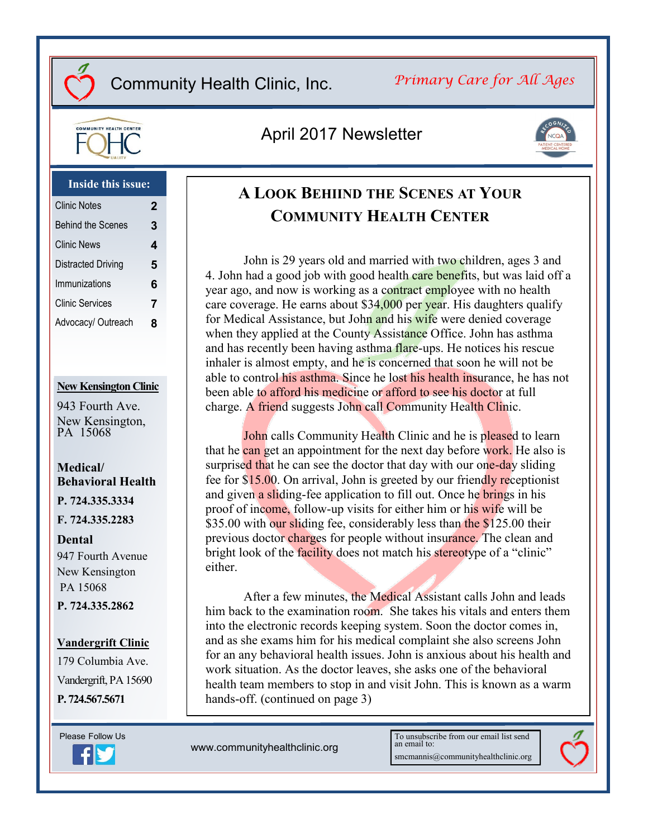# *Primary Care for All Ages*



# April 2017 Newsletter



#### **Inside this issue:**

| <b>Clinic Notes</b>      | $\mathbf 2$ |
|--------------------------|-------------|
| <b>Behind the Scenes</b> | 3           |
| <b>Clinic News</b>       | 4           |
| Distracted Driving       | 5           |
| Immunizations            | 6           |
| <b>Clinic Services</b>   | 7           |
| Advocacy/ Outreach       | 8           |

#### **New Kensington Clinic**

943 Fourth Ave. New Kensington, PA 15068

## **Medical/ Behavioral Health**

**P. 724.335.3334**

**F. 724.335.2283**

#### **Dental**

947 Fourth Avenue New Kensington PA 15068 **P. 724.335.2862**

#### **Vandergrift Clinic**

179 Columbia Ave. Vandergrift, PA 15690 **P. 724.567.5671**



**A LOOK BEHIIND THE SCENES AT YOUR COMMUNITY HEALTH CENTER**

John is 29 years old and married with two children, ages 3 and 4. John had a good job with good health care benefits, but was laid off a year ago, and now is working as a contract employee with no health care coverage. He earns about \$34,000 per year. His daughters qualify for Medical Assistance, but John and his wife were denied coverage when they applied at the County Assistance Office. John has asthma and has recently been having asthma flare-ups. He notices his rescue inhaler is almost empty, and he is concerned that soon he will not be able to control his asthma. Since he lost his health insurance, he has not been able to afford his medicine or afford to see his doctor at full charge. A friend suggests John call Community Health Clinic.

John calls Community Health Clinic and he is pleased to learn that he can get an appointment for the next day before work. He also is surprised that he can see the doctor that day with our one-day sliding fee for \$15.00. On arrival, John is greeted by our friendly receptionist and given a sliding-fee application to fill out. Once he brings in his proof of income, follow-up visits for either him or his wife will be \$35.00 with our sliding fee, considerably less than the \$125.00 their previous doctor charges for people without insurance. The clean and bright look of the facility does not match his stereotype of a "clinic" either.

After a few minutes, the Medical Assistant calls John and leads him back to the examination room. She takes his vitals and enters them into the electronic records keeping system. Soon the doctor comes in, and as she exams him for his medical complaint she also screens John for an any behavioral health issues. John is anxious about his health and work situation. As the doctor leaves, she asks one of the behavioral health team members to stop in and visit John. This is known as a warm hands-off. (continued on page 3)

www.communityhealthclinic.org

To unsubscribe from our email list send an email to: smcmannis@communityhealthclinic.org

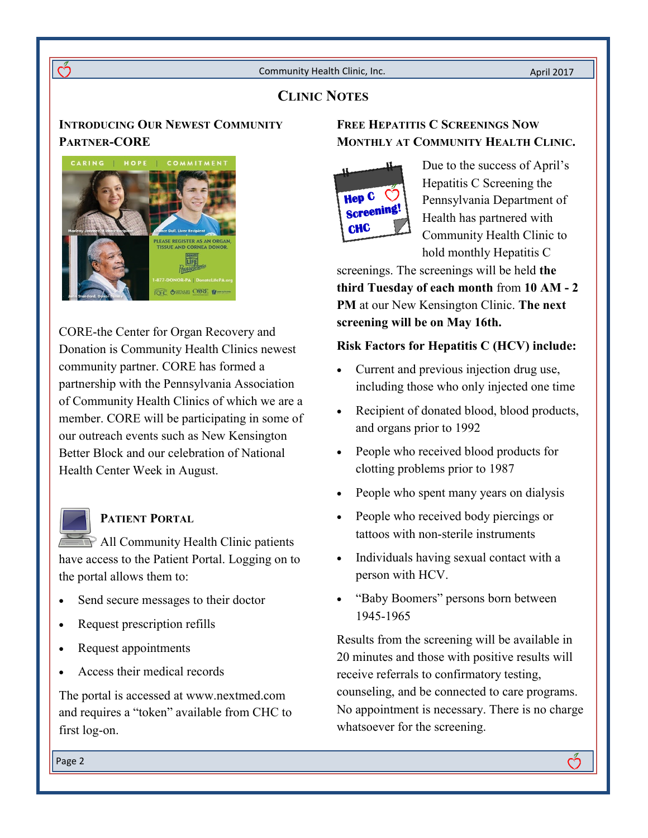# **CLINIC NOTES**

# **INTRODUCING OUR NEWEST COMMUNITY PARTNER-CORE**



 $\overline{\mathring{C}}$ 

CORE-the Center for Organ Recovery and Donation is Community Health Clinics newest community partner. CORE has formed a partnership with the Pennsylvania Association of Community Health Clinics of which we are a member. CORE will be participating in some of our outreach events such as New Kensington Better Block and our celebration of National Health Center Week in August.

## **PATIENT PORTAL**

All Community Health Clinic patients have access to the Patient Portal. Logging on to the portal allows them to:

- Send secure messages to their doctor
- Request prescription refills
- Request appointments
- Access their medical records

The portal is accessed at www.nextmed.com and requires a "token" available from CHC to first log-on.

## **FREE HEPATITIS C SCREENINGS NOW MONTHLY AT COMMUNITY HEALTH CLINIC.**



Due to the success of April's Hepatitis C Screening the Pennsylvania Department of Health has partnered with Community Health Clinic to hold monthly Hepatitis C

screenings. The screenings will be held **the third Tuesday of each month** from **10 AM - 2 PM** at our New Kensington Clinic. **The next screening will be on May 16th.** 

## **Risk Factors for Hepatitis C (HCV) include:**

- Current and previous injection drug use, including those who only injected one time
- Recipient of donated blood, blood products, and organs prior to 1992
- People who received blood products for clotting problems prior to 1987
- People who spent many years on dialysis
- People who received body piercings or tattoos with non-sterile instruments
- Individuals having sexual contact with a person with HCV.
- "Baby Boomers" persons born between 1945-1965

Results from the screening will be available in 20 minutes and those with positive results will receive referrals to confirmatory testing, counseling, and be connected to care programs. No appointment is necessary. There is no charge whatsoever for the screening.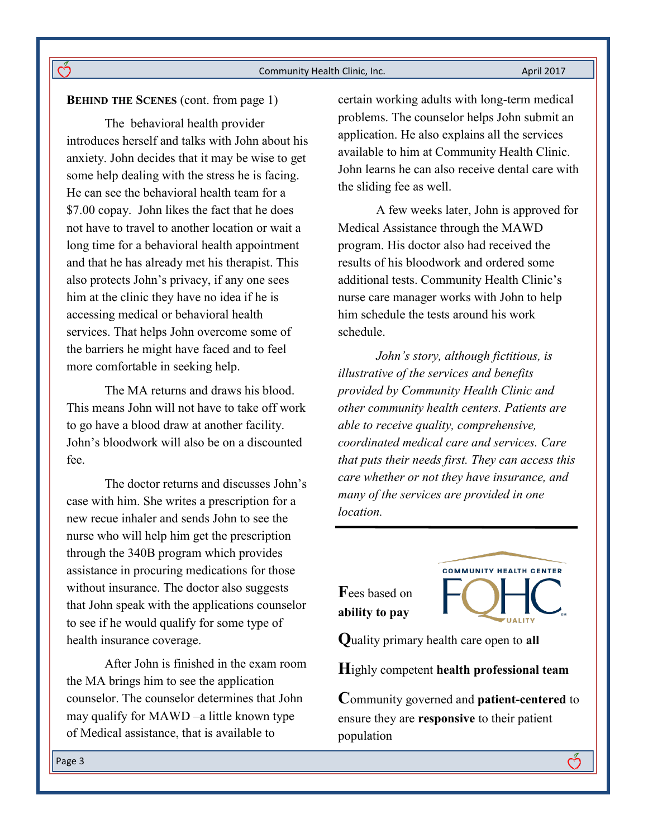#### **BEHIND THE SCENES** (cont. from page 1)

ကိ

The behavioral health provider introduces herself and talks with John about his anxiety. John decides that it may be wise to get some help dealing with the stress he is facing. He can see the behavioral health team for a \$7.00 copay. John likes the fact that he does not have to travel to another location or wait a long time for a behavioral health appointment and that he has already met his therapist. This also protects John's privacy, if any one sees him at the clinic they have no idea if he is accessing medical or behavioral health services. That helps John overcome some of the barriers he might have faced and to feel more comfortable in seeking help.

The MA returns and draws his blood. This means John will not have to take off work to go have a blood draw at another facility. John's bloodwork will also be on a discounted fee.

The doctor returns and discusses John's case with him. She writes a prescription for a new recue inhaler and sends John to see the nurse who will help him get the prescription through the 340B program which provides assistance in procuring medications for those without insurance. The doctor also suggests that John speak with the applications counselor to see if he would qualify for some type of health insurance coverage.

After John is finished in the exam room the MA brings him to see the application counselor. The counselor determines that John may qualify for MAWD –a little known type of Medical assistance, that is available to

certain working adults with long-term medical problems. The counselor helps John submit an application. He also explains all the services available to him at Community Health Clinic. John learns he can also receive dental care with the sliding fee as well.

A few weeks later, John is approved for Medical Assistance through the MAWD program. His doctor also had received the results of his bloodwork and ordered some additional tests. Community Health Clinic's nurse care manager works with John to help him schedule the tests around his work schedule.

*John's story, although fictitious, is illustrative of the services and benefits provided by Community Health Clinic and other community health centers. Patients are able to receive quality, comprehensive, coordinated medical care and services. Care that puts their needs first. They can access this care whether or not they have insurance, and many of the services are provided in one location.* 

**F**ees based on **ability to pay**



**Q**uality primary health care open to **all**

**H**ighly competent **health professional team**

**C**ommunity governed and **patient-centered** to ensure they are **responsive** to their patient population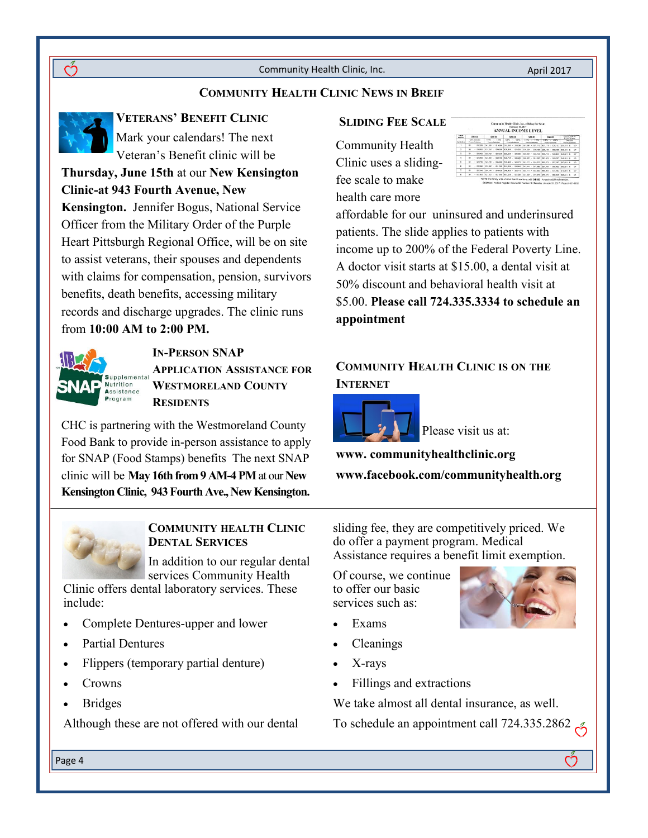## **COMMUNITY HEALTH CLINIC NEWS IN BREIF**

**VETERANS' BENEFIT CLINIC** Mark your calendars! The next Veteran's Benefit clinic will be

**Thursday, June 15th** at our **New Kensington Clinic-at 943 Fourth Avenue, New Kensington.** Jennifer Bogus, National Service Officer from the Military Order of the Purple Heart Pittsburgh Regional Office, will be on site to assist veterans, their spouses and dependents with claims for compensation, pension, survivors benefits, death benefits, accessing military records and discharge upgrades. The clinic runs from **10:00 AM to 2:00 PM.**



**IN-PERSON SNAP APPLICATION ASSISTANCE FOR WESTMORELAND COUNTY RESIDENTS**

CHC is partnering with the Westmoreland County Food Bank to provide in-person assistance to apply for SNAP (Food Stamps) benefits The next SNAP clinic will be **May 16th from 9 AM-4 PM** at our **New Kensington Clinic, 943 Fourth Ave., New Kensington.** 



### **COMMUNITY HEALTH CLINIC DENTAL SERVICES**

In addition to our regular dental services Community Health

Clinic offers dental laboratory services. These include:

- Complete Dentures-upper and lower
- Partial Dentures
- Flippers (temporary partial denture)
- Crowns
- Bridges

Page 4

Although these are not offered with our dental

#### **SLIDING FEE SCALE**

Community Health Clinic uses a slidingfee scale to make health care more



affordable for our uninsured and underinsured patients. The slide applies to patients with income up to 200% of the Federal Poverty Line. A doctor visit starts at \$15.00, a dental visit at 50% discount and behavioral health visit at \$5.00. **Please call 724.335.3334 to schedule an appointment**

## **COMMUNITY HEALTH CLINIC IS ON THE INTERNET**



Please visit us at:

**www. communityhealthclinic.org**

**www.facebook.com/communityhealth.org**

sliding fee, they are competitively priced. We do offer a payment program. Medical Assistance requires a benefit limit exemption.

Of course, we continue to offer our basic services such as:

- Exams
- Cleanings
- X-rays
- Fillings and extractions

We take almost all dental insurance, as well.

To schedule an appointment call 724.335.2862

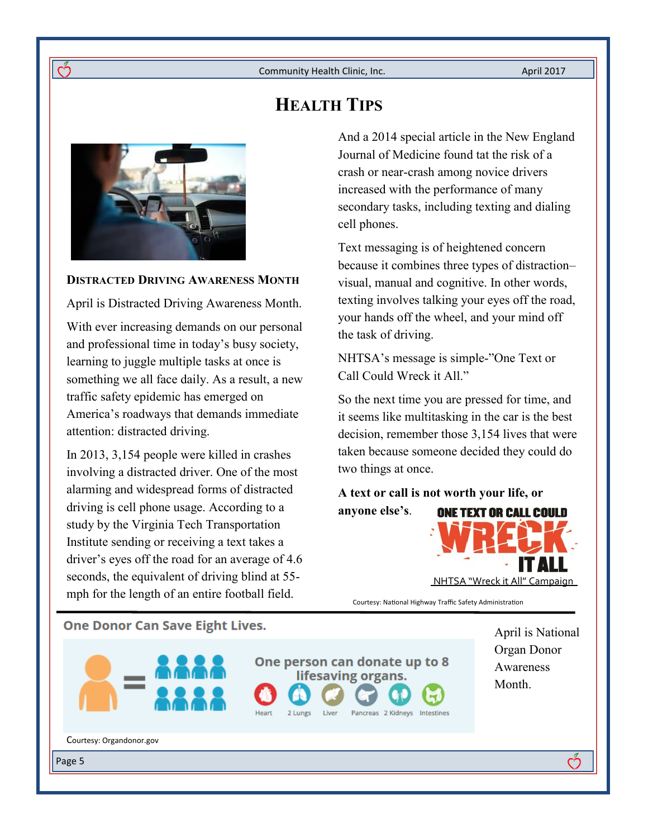**HEALTH TIPS**



ന്

## **DISTRACTED DRIVING AWARENESS MONTH**

April is Distracted Driving Awareness Month.

With ever increasing demands on our personal and professional time in today's busy society, learning to juggle multiple tasks at once is something we all face daily. As a result, a new traffic safety epidemic has emerged on America's roadways that demands immediate attention: distracted driving.

In 2013, 3,154 people were killed in crashes involving a distracted driver. One of the most alarming and widespread forms of distracted driving is cell phone usage. According to a study by the Virginia Tech Transportation Institute sending or receiving a text takes a driver's eyes off the road for an average of 4.6 seconds, the equivalent of driving blind at 55 mph for the length of an entire football field.

And a 2014 special article in the New England Journal of Medicine found tat the risk of a crash or near-crash among novice drivers increased with the performance of many secondary tasks, including texting and dialing cell phones.

Text messaging is of heightened concern because it combines three types of distraction– visual, manual and cognitive. In other words, texting involves talking your eyes off the road, your hands off the wheel, and your mind off the task of driving.

NHTSA's message is simple-"One Text or Call Could Wreck it All."

So the next time you are pressed for time, and it seems like multitasking in the car is the best decision, remember those 3,154 lives that were taken because someone decided they could do two things at once.

**A text or call is not worth your life, or anyone else's**. **ONE TEXT OR CALL COULD** 



Courtesy: National Highway Traffic Safety Administration

## **One Donor Can Save Eight Lives.**



One person can donate up to 8 lifesaving organs.

2 Lungs

Liver

Pancreas 2 Kidneys Intestines

April is National Organ Donor Awareness Month.

ကိ

Courtesy: Organdonor.gov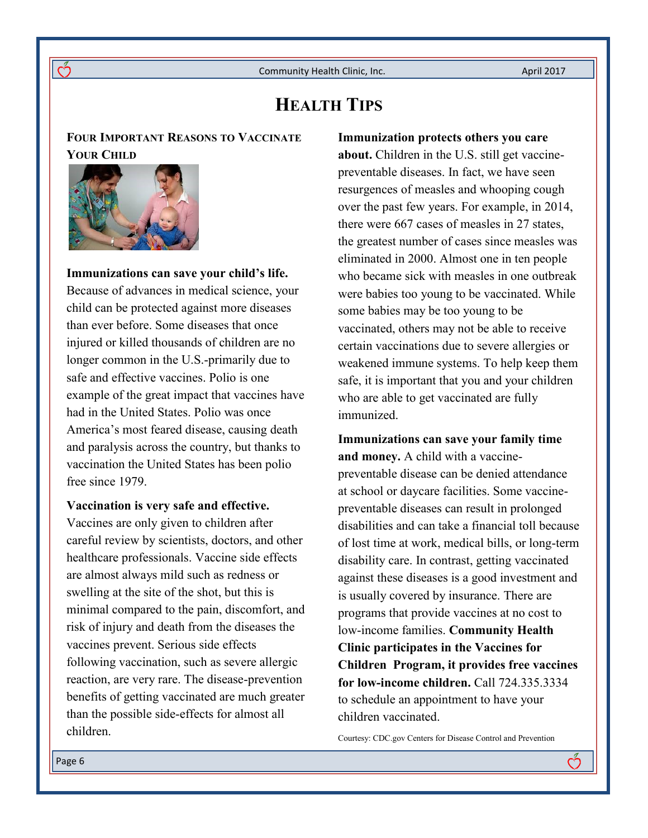# **HEALTH TIPS**

**FOUR IMPORTANT REASONS TO VACCINATE YOUR CHILD**



ကိ

**Immunizations can save your child's life.**  Because of advances in medical science, your child can be protected against more diseases than ever before. Some diseases that once injured or killed thousands of children are no longer common in the U.S.-primarily due to safe and effective vaccines. Polio is one example of the great impact that vaccines have had in the United States. Polio was once America's most feared disease, causing death and paralysis across the country, but thanks to vaccination the United States has been polio free since 1979.

### **Vaccination is very safe and effective.**

Vaccines are only given to children after careful review by scientists, doctors, and other healthcare professionals. Vaccine side effects are almost always mild such as redness or swelling at the site of the shot, but this is minimal compared to the pain, discomfort, and risk of injury and death from the diseases the vaccines prevent. Serious side effects following vaccination, such as severe allergic reaction, are very rare. The disease-prevention benefits of getting vaccinated are much greater than the possible side-effects for almost all children.

**Immunization protects others you care about.** Children in the U.S. still get vaccinepreventable diseases. In fact, we have seen resurgences of measles and whooping cough over the past few years. For example, in 2014, there were 667 cases of measles in 27 states, the greatest number of cases since measles was eliminated in 2000. Almost one in ten people who became sick with measles in one outbreak were babies too young to be vaccinated. While some babies may be too young to be vaccinated, others may not be able to receive certain vaccinations due to severe allergies or weakened immune systems. To help keep them safe, it is important that you and your children who are able to get vaccinated are fully immunized.

**Immunizations can save your family time and money.** A child with a vaccinepreventable disease can be denied attendance at school or daycare facilities. Some vaccinepreventable diseases can result in prolonged disabilities and can take a financial toll because of lost time at work, medical bills, or long-term disability care. In contrast, getting vaccinated against these diseases is a good investment and is usually covered by insurance. There are programs that provide vaccines at no cost to low-income families. **Community Health Clinic participates in the Vaccines for Children Program, it provides free vaccines for low-income children.** Call 724.335.3334 to schedule an appointment to have your children vaccinated.

Courtesy: CDC.gov Centers for Disease Control and Prevention

ෆ්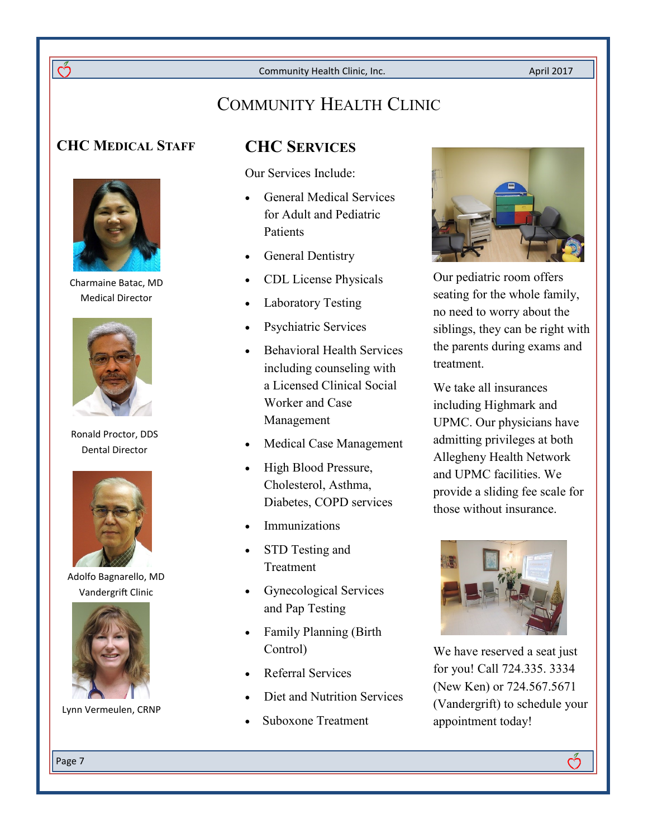April 2017

# COMMUNITY HEALTH CLINIC

# **CHC MEDICAL STAFF CHC SERVICES**

ကိ



Charmaine Batac, MD Medical Director



Ronald Proctor, DDS Dental Director



Adolfo Bagnarello, MD Vandergrift Clinic



Lynn Vermeulen, CRNP

Our Services Include:

- General Medical Services for Adult and Pediatric **Patients**
- General Dentistry
- CDL License Physicals
- Laboratory Testing
- Psychiatric Services
- Behavioral Health Services including counseling with a Licensed Clinical Social Worker and Case Management
- Medical Case Management
- High Blood Pressure, Cholesterol, Asthma, Diabetes, COPD services
- Immunizations
- STD Testing and Treatment
- Gynecological Services and Pap Testing
- Family Planning (Birth Control)
- Referral Services
- Diet and Nutrition Services
- Suboxone Treatment



Our pediatric room offers seating for the whole family, no need to worry about the siblings, they can be right with the parents during exams and treatment.

We take all insurances including Highmark and UPMC. Our physicians have admitting privileges at both Allegheny Health Network and UPMC facilities. We provide a sliding fee scale for those without insurance.



We have reserved a seat just for you! Call 724.335. 3334 (New Ken) or 724.567.5671 (Vandergrift) to schedule your appointment today!